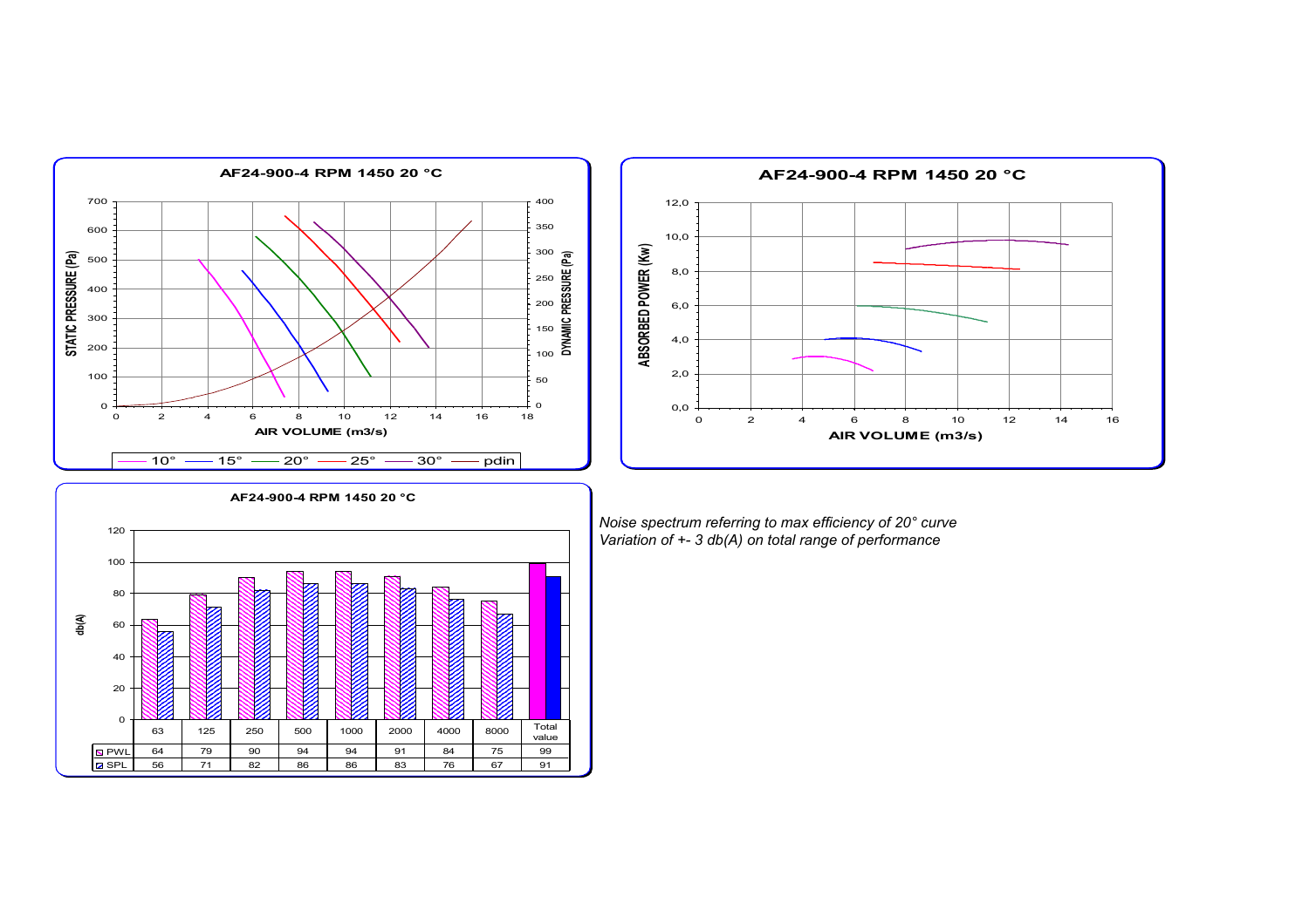





*Noise spectrum referring to max efficiency of 20° curve Variation of +- 3 db(A) on total range of performance*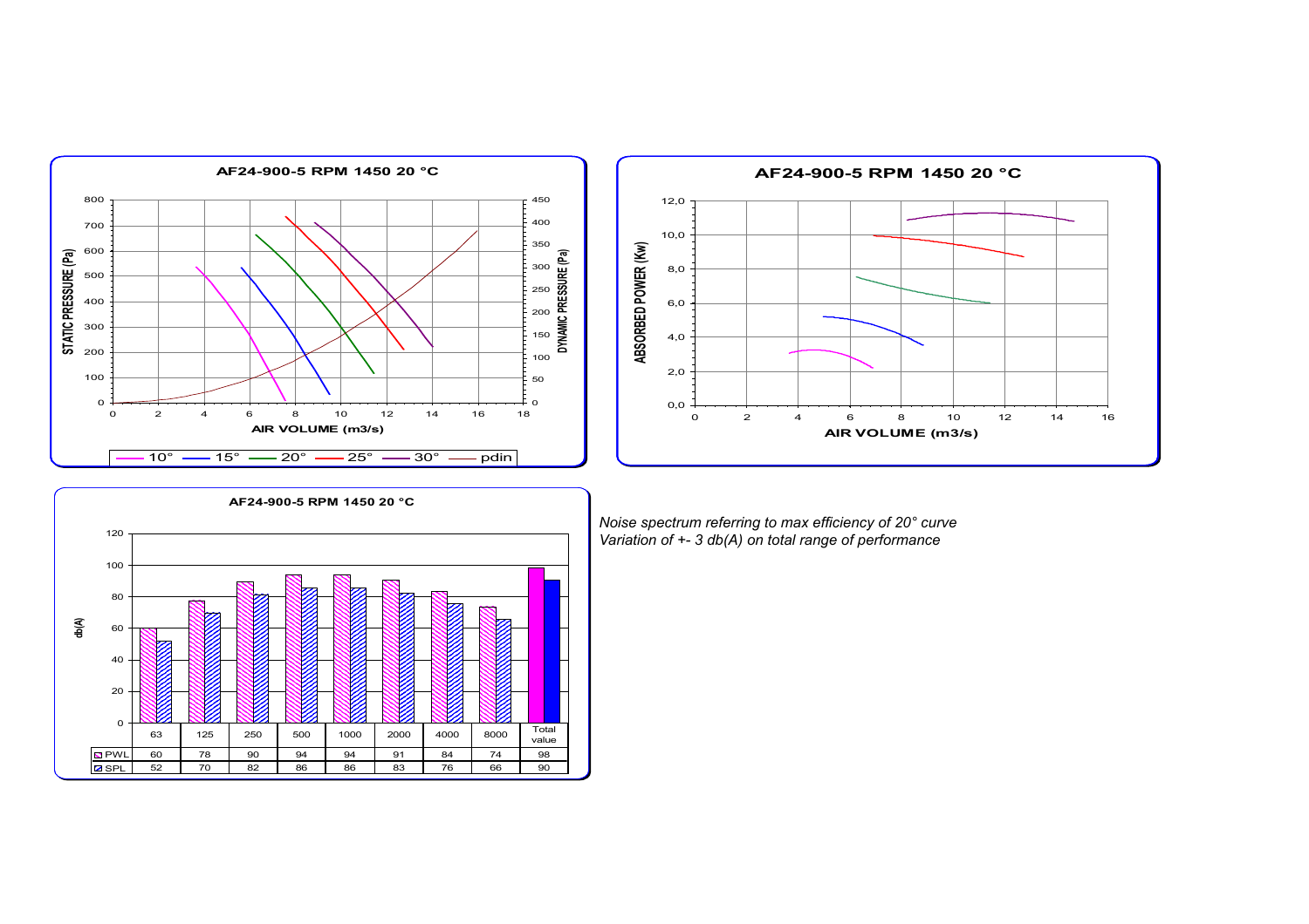





*Noise spectrum referring to max efficiency of 20° curve Variation of +- 3 db(A) on total range of performance*